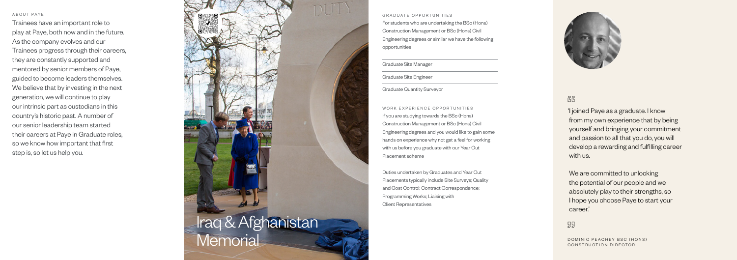#### ABOUT PAYE

Trainees have an important role to play at Paye, both now and in the future. As the company evolves and our Trainees progress through their careers, they are constantly supported and mentored by senior members of Paye, guided to become leaders themselves. We believe that by investing in the next generation, we will continue to play our intrinsic part as custodians in this country's historic past. A number of our senior leadership team started their careers at Paye in Graduate roles, so we know how important that first step is, so let us help you.

> We are committed to unlocking the potential of our people and we absolutely play to their strengths, so I hope you choose Paye to start your career.'

## 55

'I joined Paye as a graduate. I know from my own experience that by being yourself and bringing your commitment and passion to all that you do, you will develop a rewarding and fulfilling career with us.

DOMINIC PEACHEY BSC (HONS) CONSTRUCTION DIRECTOR

GRADUATE OPPORTUNITIES For students who are undertaking the BSc (Hons) Construction Management or BSc (Hons) Civil Engineering degrees or similar we have the following opportunities

## Graduate Site Manager

Graduate Site Engineer

Graduate Quantity Surveyor

WORK EXPERIENCE OPPORTUNITIES If you are studying towards the BSc (Hons) Construction Management or BSc (Hons) Civil Engineering degrees and you would like to gain some hands on experience why not get a feel for working with us before you graduate with our Year Out Placement scheme

Duties undertaken by Graduates and Year Out Placements typically include Site Surveys; Quality and Cost Control; Contract Correspondence; Programming Works; Liaising with Client Representatives



## RR